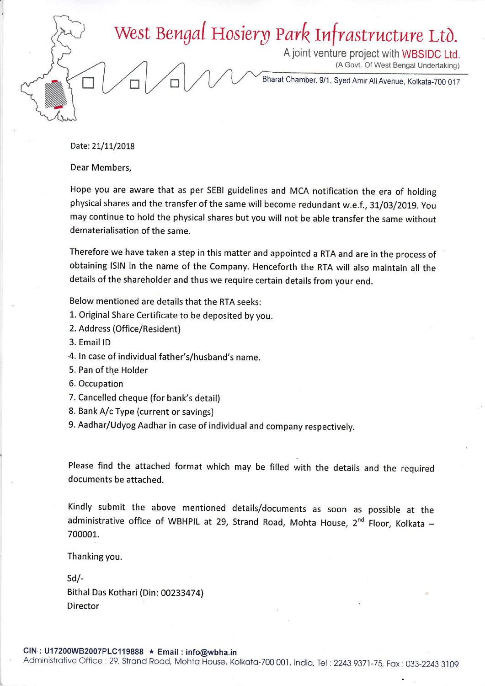## West Bengal Hosiery Park Infrastructure Ltd.

<sup>A</sup>joint venture project with WBSTDC Ltd. (A Govt. Of West Bengal Undertaking)

Bharat Chamber, 9/1, Syed Amir Ali Avenue, Kolkata-700 017

Date: 21/11/2018

Dear Members,

Hope you are aware that as per sEBl guidelines and MCA notification the era of holding physical shares and the transfer of the same will become redundant w.e.f., 31/03/2019. You may continue to hold the physical shares but you will not be able transfer the same without dematerialisation of the same.

Therefore we have taken a step in this matter and appointed a RTA and are in the process of obtaining lslN in the name of the company. Henceforth the RTA will also maintain all the details of the shareholder and thus we require certain details from your end.

Below mentioned are details that the RTA seeks:

- 1. Original Share Certificate to be deposited by you.
- 2. Address (Office/Resident)
- 3. Email lD
- 4. ln case of individual father's/husband's name.
- 5. Pan of the Holder
- 6. Occupation
- 7. Cancelled cheque (for bank's detail)
- 8. Bank A/c Type (current or savings)

9. Aadhar/Udyog Aadhar in case of individual and company respectively.

Please find the attached format which may be filled with the details and the required documents be attached.

Kindly submit the above mentioned details/documents as soon as possible at the administrative office of WBHPIL at 29, Strand Road, Mohta House, 2nd Floor, Kolkata - 700001.

Thanking you.

sd/- Bithal Das Kothari (Din: 002334741 Director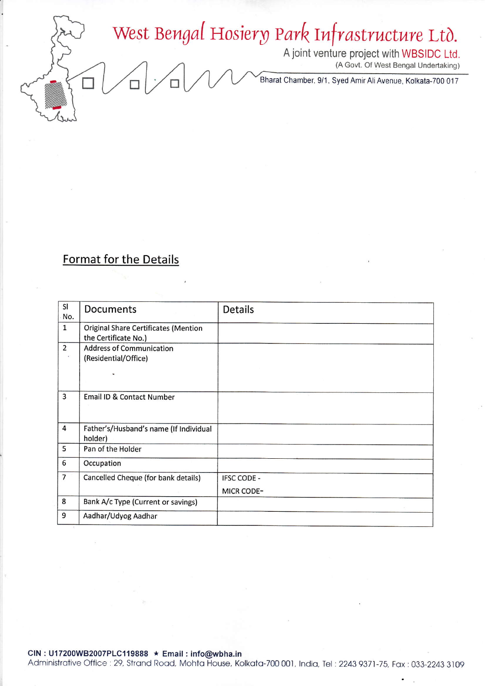## West Bengal Hosiery Park Infrastructure Ltd.

A joint venture project with WBSIDC Ltd.<br>(A Govt. Of West Bengal Undertaking)

Bharat Chamber, 9/1, Syed Amir Ali Avenue, Kolkata-700 017

## **Format for the Details**

| SI<br>No.      | Documents                                                    | <b>Details</b>     |
|----------------|--------------------------------------------------------------|--------------------|
| $\mathbf 1$    | Original Share Certificates (Mention<br>the Certificate No.) |                    |
| $\overline{2}$ | <b>Address of Communication</b><br>(Residential/Office)      |                    |
|                |                                                              |                    |
| 3              | Email ID & Contact Number                                    |                    |
| $\overline{4}$ | Father's/Husband's name (If Individual<br>holder)            |                    |
| 5              | Pan of the Holder                                            |                    |
| 6              | Occupation                                                   |                    |
| $\overline{7}$ | Cancelled Cheque (for bank details)                          | <b>IFSC CODE -</b> |
|                |                                                              | <b>MICR CODE-</b>  |
| 8              | Bank A/c Type (Current or savings)                           |                    |
| 9              | Aadhar/Udyog Aadhar                                          |                    |

Administrative Office: 29, Strand Road, Mohta House, Kolkata-700 001, India, Tel: 2243 9371-75, Fax: 033-2243 3109